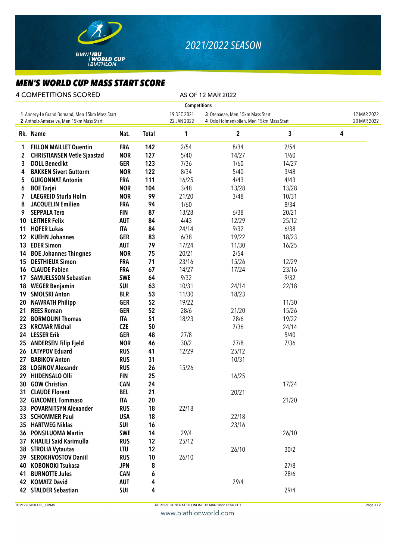

## *2021/2022 SEASON*

## *MEN'S WORLD CUP MASS START SCORE*

4 COMPETITIONS SCORED AS OF 12 MAR 2022

| <b>Competitions</b>                                                                         |                                    |            |                            |                                                                             |                            |       |   |  |  |  |  |  |
|---------------------------------------------------------------------------------------------|------------------------------------|------------|----------------------------|-----------------------------------------------------------------------------|----------------------------|-------|---|--|--|--|--|--|
| 1 Annecy-Le Grand Bornand, Men 15km Mass Start<br>2 Antholz-Anterselva, Men 15km Mass Start |                                    |            | 19 DEC 2021<br>22 JAN 2022 | 3 Otepaeae, Men 15km Mass Start<br>4 Oslo Holmenkollen, Men 15km Mass Start | 12 MAR 2022<br>20 MAR 2022 |       |   |  |  |  |  |  |
|                                                                                             | Rk. Name                           | Nat.       | <b>Total</b>               | 1                                                                           | $\boldsymbol{2}$           | 3     | 4 |  |  |  |  |  |
| 1                                                                                           | <b>FILLON MAILLET Quentin</b>      | <b>FRA</b> | 142                        | 2/54                                                                        | 8/34                       | 2/54  |   |  |  |  |  |  |
| 2                                                                                           | <b>CHRISTIANSEN Vetle Sjaastad</b> | <b>NOR</b> | 127                        | 5/40                                                                        | 14/27                      | 1/60  |   |  |  |  |  |  |
| 3                                                                                           | <b>DOLL Benedikt</b>               | <b>GER</b> | 123                        | 7/36                                                                        | 1/60                       | 14/27 |   |  |  |  |  |  |
| 4                                                                                           | <b>BAKKEN Sivert Guttorm</b>       | <b>NOR</b> | 122                        | 8/34                                                                        | 5/40                       | 3/48  |   |  |  |  |  |  |
| 5                                                                                           | <b>GUIGONNAT Antonin</b>           | <b>FRA</b> | 111                        | 16/25                                                                       | 4/43                       | 4/43  |   |  |  |  |  |  |
| 6                                                                                           | <b>BOE Tarjei</b>                  | <b>NOR</b> | 104                        | 3/48                                                                        | 13/28                      | 13/28 |   |  |  |  |  |  |
| 7                                                                                           | <b>LAEGREID Sturla Holm</b>        | <b>NOR</b> | 99                         | 21/20                                                                       | 3/48                       | 10/31 |   |  |  |  |  |  |
| 8                                                                                           | <b>JACQUELIN Emilien</b>           | <b>FRA</b> | 94                         | 1/60                                                                        |                            | 8/34  |   |  |  |  |  |  |
| 9                                                                                           | <b>SEPPALA Tero</b>                | <b>FIN</b> | 87                         | 13/28                                                                       | 6/38                       | 20/21 |   |  |  |  |  |  |
|                                                                                             | 10 LEITNER Felix                   | <b>AUT</b> | 84                         | 4/43                                                                        | 12/29                      | 25/12 |   |  |  |  |  |  |
| 11                                                                                          | <b>HOFER Lukas</b>                 | <b>ITA</b> | 84                         | 24/14                                                                       | 9/32                       | 6/38  |   |  |  |  |  |  |
| 12                                                                                          | <b>KUEHN Johannes</b>              | <b>GER</b> | 83                         | 6/38                                                                        | 19/22                      | 18/23 |   |  |  |  |  |  |
| 13                                                                                          | <b>EDER Simon</b>                  | <b>AUT</b> | 79                         | 17/24                                                                       | 11/30                      | 16/25 |   |  |  |  |  |  |
| 14                                                                                          | <b>BOE Johannes Thingnes</b>       | <b>NOR</b> | 75                         | 20/21                                                                       | 2/54                       |       |   |  |  |  |  |  |
| 15                                                                                          | <b>DESTHIEUX Simon</b>             | <b>FRA</b> | 71                         | 23/16                                                                       | 15/26                      | 12/29 |   |  |  |  |  |  |
|                                                                                             | 16 CLAUDE Fabien                   | <b>FRA</b> | 67                         | 14/27                                                                       | 17/24                      | 23/16 |   |  |  |  |  |  |
| 17                                                                                          | <b>SAMUELSSON Sebastian</b>        | <b>SWE</b> | 64                         | 9/32                                                                        |                            | 9/32  |   |  |  |  |  |  |
|                                                                                             | 18 WEGER Benjamin                  | <b>SUI</b> | 63                         | 10/31                                                                       | 24/14                      | 22/18 |   |  |  |  |  |  |
| 19                                                                                          | <b>SMOLSKI Anton</b>               | <b>BLR</b> | 53                         | 11/30                                                                       | 18/23                      |       |   |  |  |  |  |  |
| 20                                                                                          | <b>NAWRATH Philipp</b>             | <b>GER</b> | 52                         | 19/22                                                                       |                            | 11/30 |   |  |  |  |  |  |
| 21                                                                                          | <b>REES Roman</b>                  | <b>GER</b> | 52                         | 28/6                                                                        | 21/20                      | 15/26 |   |  |  |  |  |  |
| 22                                                                                          | <b>BORMOLINI Thomas</b>            | <b>ITA</b> | 51                         | 18/23                                                                       | 28/6                       | 19/22 |   |  |  |  |  |  |
| 23                                                                                          | <b>KRCMAR Michal</b>               | <b>CZE</b> | 50                         |                                                                             | 7/36                       | 24/14 |   |  |  |  |  |  |
|                                                                                             | 24 LESSER Erik                     | <b>GER</b> | 48                         | 27/8                                                                        |                            | 5/40  |   |  |  |  |  |  |
| 25                                                                                          | <b>ANDERSEN Filip Fjeld</b>        | <b>NOR</b> | 46                         | 30/2                                                                        | 27/8                       | 7/36  |   |  |  |  |  |  |
|                                                                                             | 26 LATYPOV Eduard                  | <b>RUS</b> | 41                         | 12/29                                                                       | 25/12                      |       |   |  |  |  |  |  |
| 27                                                                                          | <b>BABIKOV Anton</b>               | <b>RUS</b> | 31                         |                                                                             | 10/31                      |       |   |  |  |  |  |  |
| 28                                                                                          | <b>LOGINOV Alexandr</b>            | <b>RUS</b> | 26                         | 15/26                                                                       |                            |       |   |  |  |  |  |  |
| 29                                                                                          | <b>HIIDENSALO Olli</b>             | <b>FIN</b> | 25                         |                                                                             | 16/25                      |       |   |  |  |  |  |  |
|                                                                                             | 30 GOW Christian                   | <b>CAN</b> | 24                         |                                                                             |                            | 17/24 |   |  |  |  |  |  |
|                                                                                             | 31 CLAUDE Florent                  | <b>BEL</b> | 21                         |                                                                             | 20/21                      |       |   |  |  |  |  |  |
|                                                                                             | 32 GIACOMEL Tommaso                | <b>ITA</b> | 20                         |                                                                             |                            | 21/20 |   |  |  |  |  |  |
|                                                                                             | 33 POVARNITSYN Alexander           | <b>RUS</b> | 18                         | 22/18                                                                       |                            |       |   |  |  |  |  |  |
|                                                                                             | 33 SCHOMMER Paul                   | <b>USA</b> | 18                         |                                                                             | 22/18                      |       |   |  |  |  |  |  |
|                                                                                             | 35 HARTWEG Niklas                  | <b>SUI</b> | 16                         |                                                                             | 23/16                      |       |   |  |  |  |  |  |
|                                                                                             | 36 PONSILUOMA Martin               | <b>SWE</b> | 14                         | 29/4                                                                        |                            | 26/10 |   |  |  |  |  |  |
| 37                                                                                          | <b>KHALILI Said Karimulla</b>      | <b>RUS</b> | 12                         | 25/12                                                                       |                            |       |   |  |  |  |  |  |
|                                                                                             | 38 STROLIA Vytautas                | <b>LTU</b> | 12                         |                                                                             | 26/10                      | 30/2  |   |  |  |  |  |  |
|                                                                                             | 39 SEROKHVOSTOV Daniil             | <b>RUS</b> | 10                         | 26/10                                                                       |                            |       |   |  |  |  |  |  |
| 40 -                                                                                        | <b>KOBONOKI Tsukasa</b>            | <b>JPN</b> | 8                          |                                                                             |                            | 27/8  |   |  |  |  |  |  |
| 41                                                                                          | <b>BURNOTTE Jules</b>              | <b>CAN</b> | 6                          |                                                                             |                            | 28/6  |   |  |  |  |  |  |
|                                                                                             | 42 KOMATZ David                    | <b>AUT</b> | 4                          |                                                                             | 29/4                       |       |   |  |  |  |  |  |
|                                                                                             | 42 STALDER Sebastian               | SUI        | 4                          |                                                                             |                            | 29/4  |   |  |  |  |  |  |

BT2122SWRLCP\_\_SMMS Page 1/2

www.biathlonworld.com